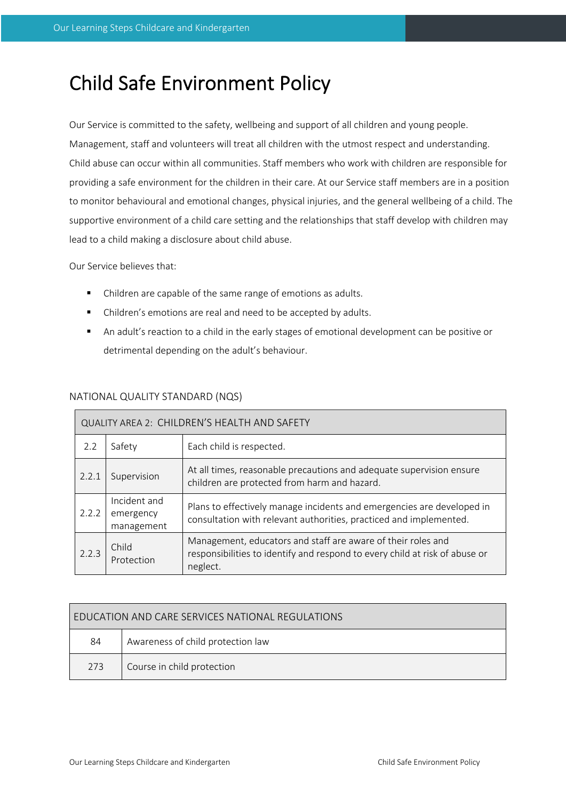# Child Safe Environment Policy

Our Service is committed to the safety, wellbeing and support of all children and young people. Management, staff and volunteers will treat all children with the utmost respect and understanding. Child abuse can occur within all communities. Staff members who work with children are responsible for providing a safe environment for the children in their care. At our Service staff members are in a position to monitor behavioural and emotional changes, physical injuries, and the general wellbeing of a child. The supportive environment of a child care setting and the relationships that staff develop with children may lead to a child making a disclosure about child abuse.

Our Service believes that:

- Children are capable of the same range of emotions as adults.
- Children's emotions are real and need to be accepted by adults.
- An adult's reaction to a child in the early stages of emotional development can be positive or detrimental depending on the adult's behaviour.

# NATIONAL QUALITY STANDARD (NQS)

| QUALITY AREA 2: CHILDREN'S HEALTH AND SAFETY |                                         |                                                                                                                                                         |  |  |
|----------------------------------------------|-----------------------------------------|---------------------------------------------------------------------------------------------------------------------------------------------------------|--|--|
| 2.2                                          | Safety                                  | Each child is respected.                                                                                                                                |  |  |
| 2.2.1                                        | Supervision                             | At all times, reasonable precautions and adequate supervision ensure<br>children are protected from harm and hazard.                                    |  |  |
| 2.2.2                                        | Incident and<br>emergency<br>management | Plans to effectively manage incidents and emergencies are developed in<br>consultation with relevant authorities, practiced and implemented.            |  |  |
| 2.2.3                                        | Child<br>Protection                     | Management, educators and staff are aware of their roles and<br>responsibilities to identify and respond to every child at risk of abuse or<br>neglect. |  |  |

| EDUCATION AND CARE SERVICES NATIONAL REGULATIONS |                                   |  |  |  |
|--------------------------------------------------|-----------------------------------|--|--|--|
| 84                                               | Awareness of child protection law |  |  |  |
| 273                                              | Course in child protection        |  |  |  |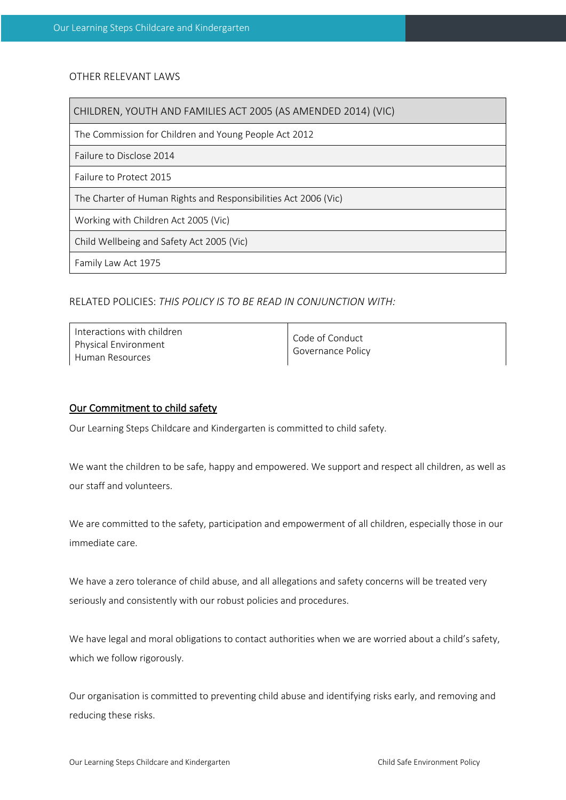# OTHER RELEVANT LAWS

CHILDREN, YOUTH AND FAMILIES ACT 2005 (AS AMENDED 2014) (VIC)

The Commission for Children and Young People Act 2012

Failure to Disclose 2014

Failure to Protect 2015

The Charter of Human Rights and Responsibilities Act 2006 (Vic)

Working with Children Act 2005 (Vic)

Child Wellbeing and Safety Act 2005 (Vic)

Family Law Act 1975

# RELATED POLICIES: *THIS POLICY IS TO BE READ IN CONJUNCTION WITH:*

| Interactions with children<br><b>Physical Environment</b><br>Human Resources | Code of Conduct<br>Governance Policy |
|------------------------------------------------------------------------------|--------------------------------------|
|------------------------------------------------------------------------------|--------------------------------------|

#### Our Commitment to child safety

Our Learning Steps Childcare and Kindergarten is committed to child safety.

We want the children to be safe, happy and empowered. We support and respect all children, as well as our staff and volunteers.

We are committed to the safety, participation and empowerment of all children, especially those in our immediate care.

We have a zero tolerance of child abuse, and all allegations and safety concerns will be treated very seriously and consistently with our robust policies and procedures.

We have legal and moral obligations to contact authorities when we are worried about a child's safety, which we follow rigorously.

Our organisation is committed to preventing child abuse and identifying risks early, and removing and reducing these risks.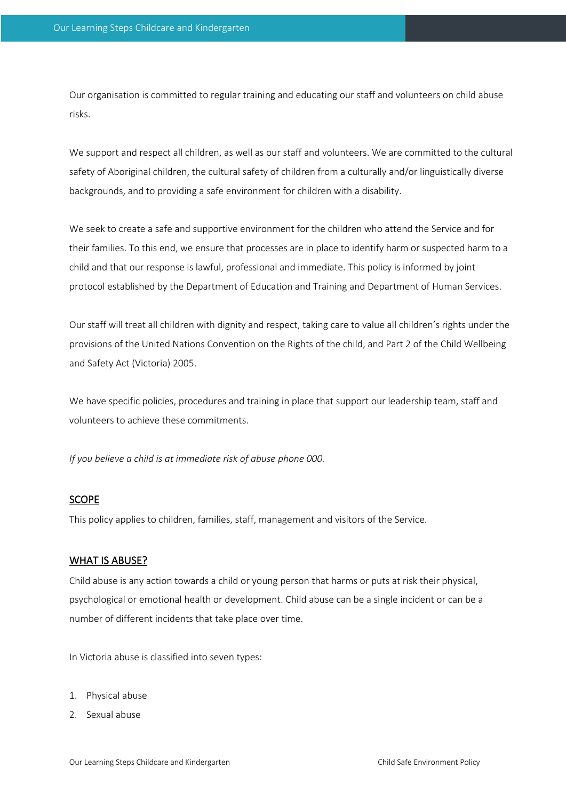Our organisation is committed to regular training and educating our staff and volunteers on child abuse risks.

We support and respect all children, as well as our staff and volunteers. We are committed to the cultural safety of Aboriginal children, the cultural safety of children from a culturally and/or linguistically diverse backgrounds, and to providing a safe environment for children with a disability.

We seek to create a safe and supportive environment for the children who attend the Service and for their families. To this end, we ensure that processes are in place to identify harm or suspected harm to a child and that our response is lawful, professional and immediate. This policy is informed by joint protocol established by the Department of Education and Training and Department of Human Services.

Our staff will treat all children with dignity and respect, taking care to value all children's rights under the provisions of the United Nations Convention on the Rights of the child, and Part 2 of the Child Wellbeing and Safety Act (Victoria) 2005.

We have specific policies, procedures and training in place that support our leadership team, staff and volunteers to achieve these commitments.

*If you believe a child is at immediate risk of abuse phone 000.*

# SCOPE

This policy applies to children, families, staff, management and visitors of the Service.

# WHAT IS ABUSE?

Child abuse is any action towards a child or young person that harms or puts at risk their physical, psychological or emotional health or development. Child abuse can be a single incident or can be a number of different incidents that take place over time.

In Victoria abuse is classified into seven types:

- 1. Physical abuse
- 2. Sexual abuse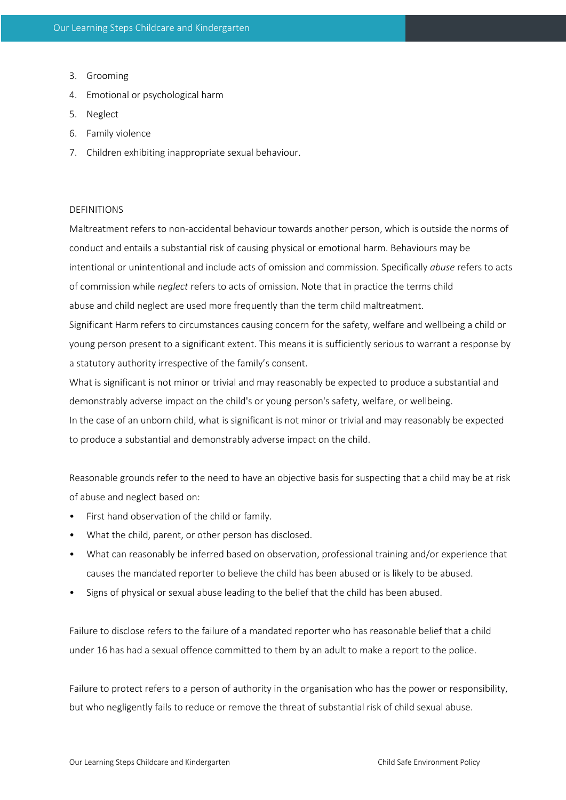- 3. Grooming
- 4. Emotional or psychological harm
- 5. Neglect
- 6. Family violence
- 7. Children exhibiting inappropriate sexual behaviour.

# **DEFINITIONS**

Maltreatment refers to non-accidental behaviour towards another person, which is outside the norms of conduct and entails a substantial risk of causing physical or emotional harm. Behaviours may be intentional or unintentional and include acts of omission and commission. Specifically *abuse* refers to acts of commission while *neglect* refers to acts of omission. Note that in practice the terms child abuse and child neglect are used more frequently than the term child maltreatment.

Significant Harm refers to circumstances causing concern for the safety, welfare and wellbeing a child or young person present to a significant extent. This means it is sufficiently serious to warrant a response by a statutory authority irrespective of the family's consent.

What is significant is not minor or trivial and may reasonably be expected to produce a substantial and demonstrably adverse impact on the child's or young person's safety, welfare, or wellbeing. In the case of an unborn child, what is significant is not minor or trivial and may reasonably be expected to produce a substantial and demonstrably adverse impact on the child.

Reasonable grounds refer to the need to have an objective basis for suspecting that a child may be at risk of abuse and neglect based on:

- First hand observation of the child or family.
- What the child, parent, or other person has disclosed.
- What can reasonably be inferred based on observation, professional training and/or experience that causes the mandated reporter to believe the child has been abused or is likely to be abused.
- Signs of physical or sexual abuse leading to the belief that the child has been abused.

Failure to disclose refers to the failure of a mandated reporter who has reasonable belief that a child under 16 has had a sexual offence committed to them by an adult to make a report to the police.

Failure to protect refers to a person of authority in the organisation who has the power or responsibility, but who negligently fails to reduce or remove the threat of substantial risk of child sexual abuse.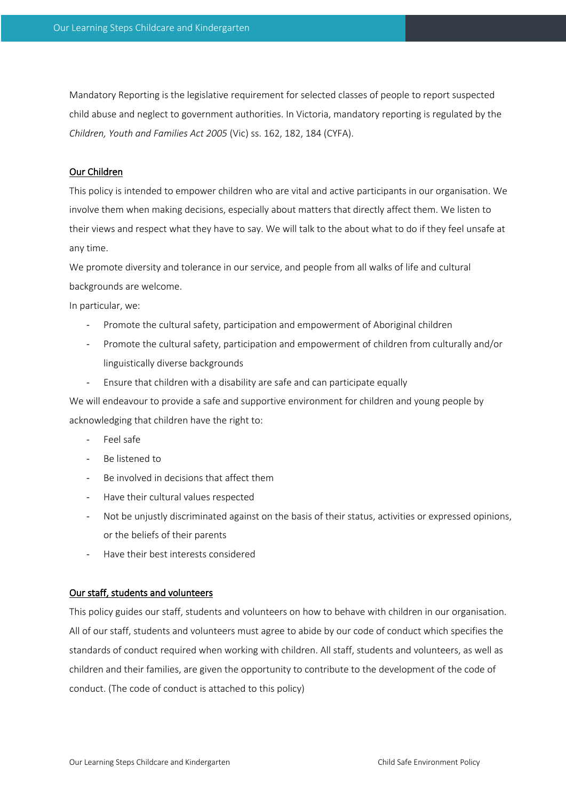Mandatory Reporting is the legislative requirement for selected classes of people to report suspected child abuse and neglect to government authorities. In Victoria, mandatory reporting is regulated by the *Children, Youth and Families Act 2005* (Vic) ss. 162, 182, 184 (CYFA).

# Our Children

This policy is intended to empower children who are vital and active participants in our organisation. We involve them when making decisions, especially about matters that directly affect them. We listen to their views and respect what they have to say. We will talk to the about what to do if they feel unsafe at any time.

We promote diversity and tolerance in our service, and people from all walks of life and cultural backgrounds are welcome.

In particular, we:

- Promote the cultural safety, participation and empowerment of Aboriginal children
- Promote the cultural safety, participation and empowerment of children from culturally and/or linguistically diverse backgrounds
- Ensure that children with a disability are safe and can participate equally

We will endeavour to provide a safe and supportive environment for children and young people by acknowledging that children have the right to:

- Feel safe
- Be listened to
- Be involved in decisions that affect them
- Have their cultural values respected
- Not be unjustly discriminated against on the basis of their status, activities or expressed opinions, or the beliefs of their parents
- Have their best interests considered

#### Our staff, students and volunteers

This policy guides our staff, students and volunteers on how to behave with children in our organisation. All of our staff, students and volunteers must agree to abide by our code of conduct which specifies the standards of conduct required when working with children. All staff, students and volunteers, as well as children and their families, are given the opportunity to contribute to the development of the code of conduct. (The code of conduct is attached to this policy)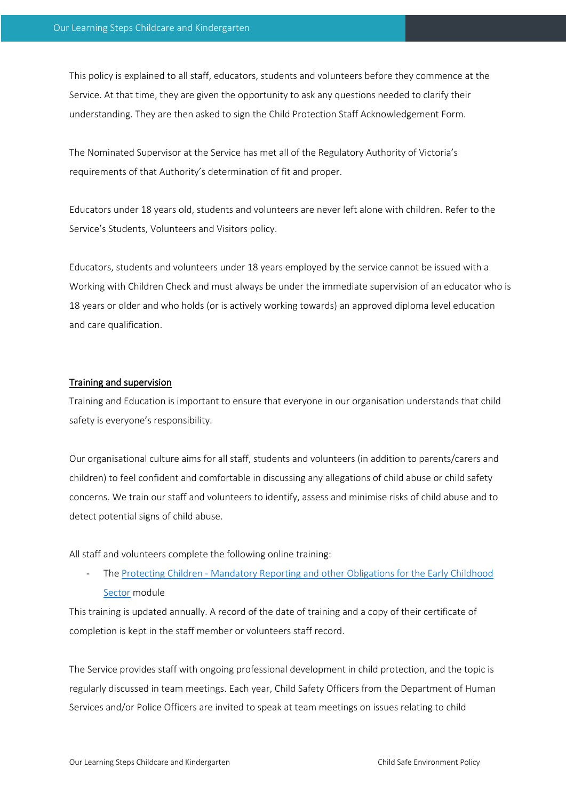This policy is explained to all staff, educators, students and volunteers before they commence at the Service. At that time, they are given the opportunity to ask any questions needed to clarify their understanding. They are then asked to sign the Child Protection Staff Acknowledgement Form.

The Nominated Supervisor at the Service has met all of the Regulatory Authority of Victoria's requirements of that Authority's determination of fit and proper.

Educators under 18 years old, students and volunteers are never left alone with children. Refer to the Service's Students, Volunteers and Visitors policy.

Educators, students and volunteers under 18 years employed by the service cannot be issued with a Working with Children Check and must always be under the immediate supervision of an educator who is 18 years or older and who holds (or is actively working towards) an approved diploma level education and care qualification.

# Training and supervision

Training and Education is important to ensure that everyone in our organisation understands that child safety is everyone's responsibility.

Our organisational culture aims for all staff, students and volunteers (in addition to parents/carers and children) to feel confident and comfortable in discussing any allegations of child abuse or child safety concerns. We train our staff and volunteers to identify, assess and minimise risks of child abuse and to detect potential signs of child abuse.

All staff and volunteers complete the following online training:

The Protecting Children - Mandatory Reporting and other Obligations for the Early Childhood Sector module

This training is updated annually. A record of the date of training and a copy of their certificate of completion is kept in the staff member or volunteers staff record.

The Service provides staff with ongoing professional development in child protection, and the topic is regularly discussed in team meetings. Each year, Child Safety Officers from the Department of Human Services and/or Police Officers are invited to speak at team meetings on issues relating to child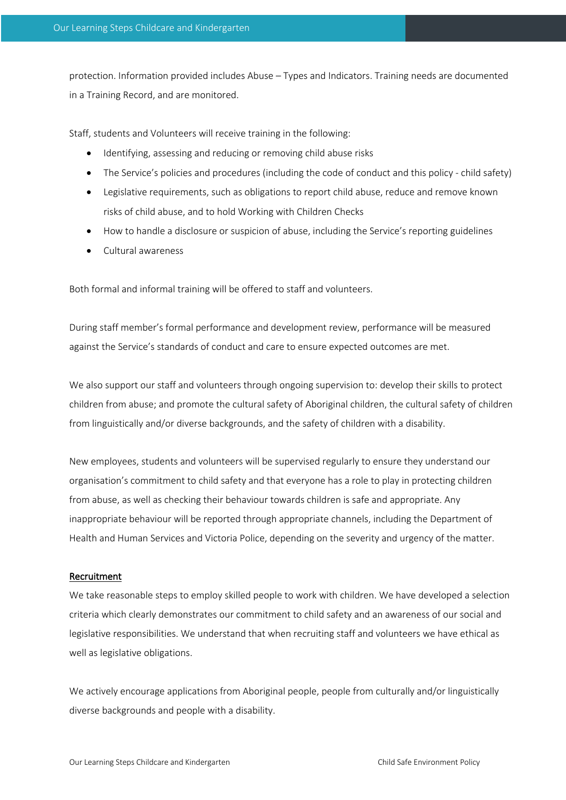protection. Information provided includes Abuse – Types and Indicators. Training needs are documented in a Training Record, and are monitored.

Staff, students and Volunteers will receive training in the following:

- Identifying, assessing and reducing or removing child abuse risks
- The Service's policies and procedures (including the code of conduct and this policy child safety)
- Legislative requirements, such as obligations to report child abuse, reduce and remove known risks of child abuse, and to hold Working with Children Checks
- How to handle a disclosure or suspicion of abuse, including the Service's reporting guidelines
- Cultural awareness

Both formal and informal training will be offered to staff and volunteers.

During staff member's formal performance and development review, performance will be measured against the Service's standards of conduct and care to ensure expected outcomes are met.

We also support our staff and volunteers through ongoing supervision to: develop their skills to protect children from abuse; and promote the cultural safety of Aboriginal children, the cultural safety of children from linguistically and/or diverse backgrounds, and the safety of children with a disability.

New employees, students and volunteers will be supervised regularly to ensure they understand our organisation's commitment to child safety and that everyone has a role to play in protecting children from abuse, as well as checking their behaviour towards children is safe and appropriate. Any inappropriate behaviour will be reported through appropriate channels, including the Department of Health and Human Services and Victoria Police, depending on the severity and urgency of the matter.

#### Recruitment

We take reasonable steps to employ skilled people to work with children. We have developed a selection criteria which clearly demonstrates our commitment to child safety and an awareness of our social and legislative responsibilities. We understand that when recruiting staff and volunteers we have ethical as well as legislative obligations.

We actively encourage applications from Aboriginal people, people from culturally and/or linguistically diverse backgrounds and people with a disability.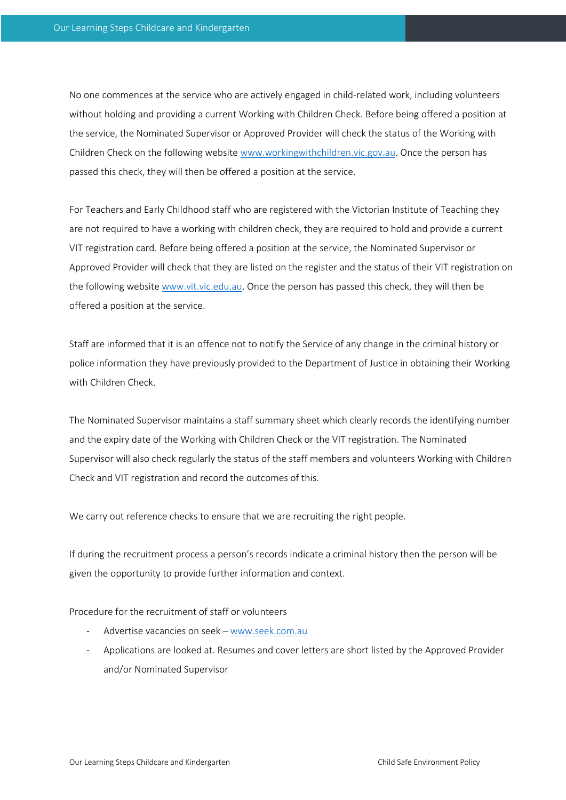No one commences at the service who are actively engaged in child-related work, including volunteers without holding and providing a current Working with Children Check. Before being offered a position at the service, the Nominated Supervisor or Approved Provider will check the status of the Working with Children Check on the following website www.workingwithchildren.vic.gov.au. Once the person has passed this check, they will then be offered a position at the service.

For Teachers and Early Childhood staff who are registered with the Victorian Institute of Teaching they are not required to have a working with children check, they are required to hold and provide a current VIT registration card. Before being offered a position at the service, the Nominated Supervisor or Approved Provider will check that they are listed on the register and the status of their VIT registration on the following website www.vit.vic.edu.au. Once the person has passed this check, they will then be offered a position at the service.

Staff are informed that it is an offence not to notify the Service of any change in the criminal history or police information they have previously provided to the Department of Justice in obtaining their Working with Children Check.

The Nominated Supervisor maintains a staff summary sheet which clearly records the identifying number and the expiry date of the Working with Children Check or the VIT registration. The Nominated Supervisor will also check regularly the status of the staff members and volunteers Working with Children Check and VIT registration and record the outcomes of this.

We carry out reference checks to ensure that we are recruiting the right people.

If during the recruitment process a person's records indicate a criminal history then the person will be given the opportunity to provide further information and context.

Procedure for the recruitment of staff or volunteers

- Advertise vacancies on seek www.seek.com.au
- Applications are looked at. Resumes and cover letters are short listed by the Approved Provider and/or Nominated Supervisor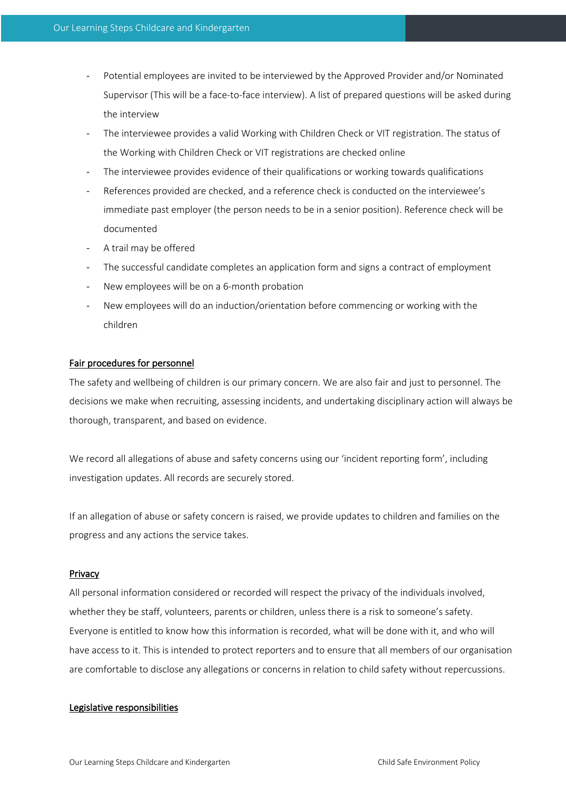- Potential employees are invited to be interviewed by the Approved Provider and/or Nominated Supervisor (This will be a face-to-face interview). A list of prepared questions will be asked during the interview
- The interviewee provides a valid Working with Children Check or VIT registration. The status of the Working with Children Check or VIT registrations are checked online
- The interviewee provides evidence of their qualifications or working towards qualifications
- References provided are checked, and a reference check is conducted on the interviewee's immediate past employer (the person needs to be in a senior position). Reference check will be documented
- A trail may be offered
- The successful candidate completes an application form and signs a contract of employment
- New employees will be on a 6-month probation
- New employees will do an induction/orientation before commencing or working with the children

# Fair procedures for personnel

The safety and wellbeing of children is our primary concern. We are also fair and just to personnel. The decisions we make when recruiting, assessing incidents, and undertaking disciplinary action will always be thorough, transparent, and based on evidence.

We record all allegations of abuse and safety concerns using our 'incident reporting form', including investigation updates. All records are securely stored.

If an allegation of abuse or safety concern is raised, we provide updates to children and families on the progress and any actions the service takes.

#### Privacy

All personal information considered or recorded will respect the privacy of the individuals involved, whether they be staff, volunteers, parents or children, unless there is a risk to someone's safety. Everyone is entitled to know how this information is recorded, what will be done with it, and who will have access to it. This is intended to protect reporters and to ensure that all members of our organisation are comfortable to disclose any allegations or concerns in relation to child safety without repercussions.

#### Legislative responsibilities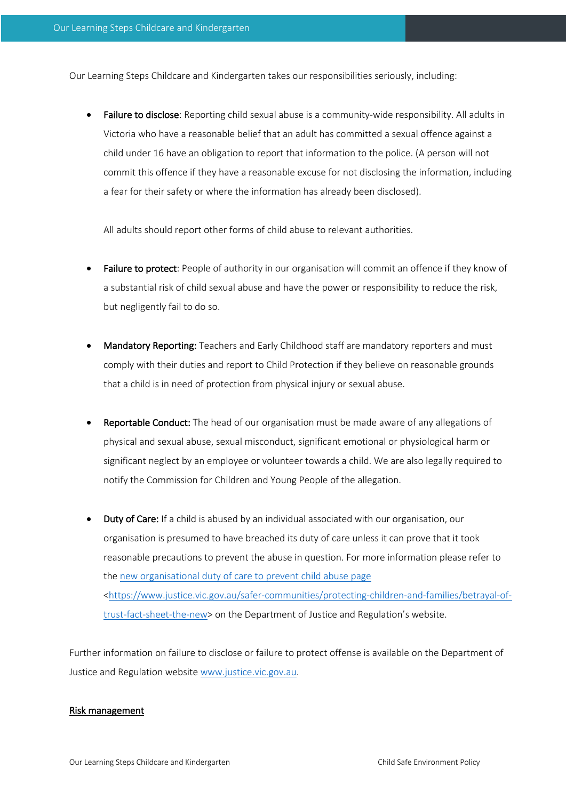Our Learning Steps Childcare and Kindergarten takes our responsibilities seriously, including:

Failure to disclose: Reporting child sexual abuse is a community-wide responsibility. All adults in Victoria who have a reasonable belief that an adult has committed a sexual offence against a child under 16 have an obligation to report that information to the police. (A person will not commit this offence if they have a reasonable excuse for not disclosing the information, including a fear for their safety or where the information has already been disclosed).

All adults should report other forms of child abuse to relevant authorities.

- Failure to protect: People of authority in our organisation will commit an offence if they know of a substantial risk of child sexual abuse and have the power or responsibility to reduce the risk, but negligently fail to do so.
- Mandatory Reporting: Teachers and Early Childhood staff are mandatory reporters and must comply with their duties and report to Child Protection if they believe on reasonable grounds that a child is in need of protection from physical injury or sexual abuse.
- Reportable Conduct: The head of our organisation must be made aware of any allegations of physical and sexual abuse, sexual misconduct, significant emotional or physiological harm or significant neglect by an employee or volunteer towards a child. We are also legally required to notify the Commission for Children and Young People of the allegation.
- Duty of Care: If a child is abused by an individual associated with our organisation, our organisation is presumed to have breached its duty of care unless it can prove that it took reasonable precautions to prevent the abuse in question. For more information please refer to the new organisational duty of care to prevent child abuse page <https://www.justice.vic.gov.au/safer-communities/protecting-children-and-families/betrayal-oftrust-fact-sheet-the-new> on the Department of Justice and Regulation's website.

Further information on failure to disclose or failure to protect offense is available on the Department of Justice and Regulation website www.justice.vic.gov.au.

#### Risk management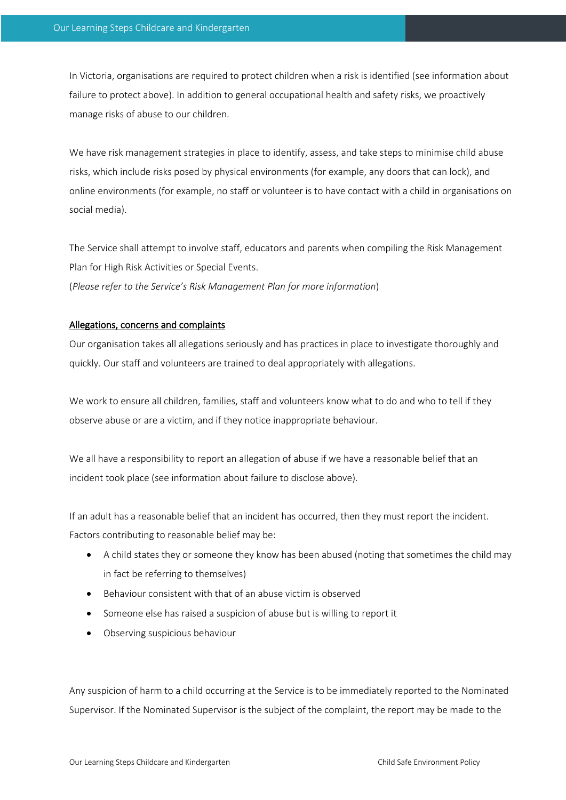In Victoria, organisations are required to protect children when a risk is identified (see information about failure to protect above). In addition to general occupational health and safety risks, we proactively manage risks of abuse to our children.

We have risk management strategies in place to identify, assess, and take steps to minimise child abuse risks, which include risks posed by physical environments (for example, any doors that can lock), and online environments (for example, no staff or volunteer is to have contact with a child in organisations on social media).

The Service shall attempt to involve staff, educators and parents when compiling the Risk Management Plan for High Risk Activities or Special Events.

(*Please refer to the Service's Risk Management Plan for more information*)

# Allegations, concerns and complaints

Our organisation takes all allegations seriously and has practices in place to investigate thoroughly and quickly. Our staff and volunteers are trained to deal appropriately with allegations.

We work to ensure all children, families, staff and volunteers know what to do and who to tell if they observe abuse or are a victim, and if they notice inappropriate behaviour.

We all have a responsibility to report an allegation of abuse if we have a reasonable belief that an incident took place (see information about failure to disclose above).

If an adult has a reasonable belief that an incident has occurred, then they must report the incident. Factors contributing to reasonable belief may be:

- A child states they or someone they know has been abused (noting that sometimes the child may in fact be referring to themselves)
- Behaviour consistent with that of an abuse victim is observed
- Someone else has raised a suspicion of abuse but is willing to report it
- Observing suspicious behaviour

Any suspicion of harm to a child occurring at the Service is to be immediately reported to the Nominated Supervisor. If the Nominated Supervisor is the subject of the complaint, the report may be made to the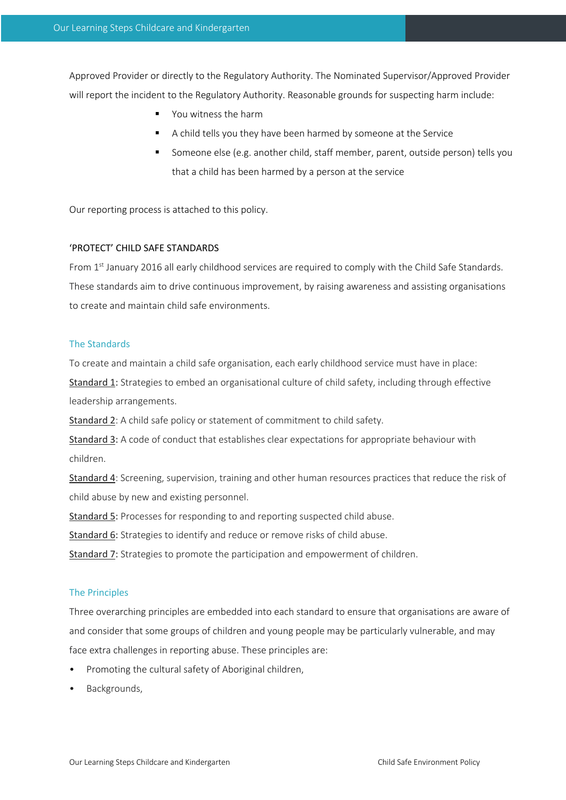Approved Provider or directly to the Regulatory Authority. The Nominated Supervisor/Approved Provider will report the incident to the Regulatory Authority. Reasonable grounds for suspecting harm include:

- § You witness the harm
- § A child tells you they have been harmed by someone at the Service
- § Someone else (e.g. another child, staff member, parent, outside person) tells you that a child has been harmed by a person at the service

Our reporting process is attached to this policy.

#### 'PROTECT' CHILD SAFE STANDARDS

From 1st January 2016 all early childhood services are required to comply with the Child Safe Standards. These standards aim to drive continuous improvement, by raising awareness and assisting organisations to create and maintain child safe environments.

# The Standards

To create and maintain a child safe organisation, each early childhood service must have in place:

Standard 1: Strategies to embed an organisational culture of child safety, including through effective leadership arrangements.

Standard 2: A child safe policy or statement of commitment to child safety.

Standard 3: A code of conduct that establishes clear expectations for appropriate behaviour with children.

Standard 4: Screening, supervision, training and other human resources practices that reduce the risk of child abuse by new and existing personnel.

Standard 5: Processes for responding to and reporting suspected child abuse.

Standard 6: Strategies to identify and reduce or remove risks of child abuse.

Standard 7: Strategies to promote the participation and empowerment of children.

#### The Principles

Three overarching principles are embedded into each standard to ensure that organisations are aware of and consider that some groups of children and young people may be particularly vulnerable, and may face extra challenges in reporting abuse. These principles are:

- Promoting the cultural safety of Aboriginal children,
- Backgrounds,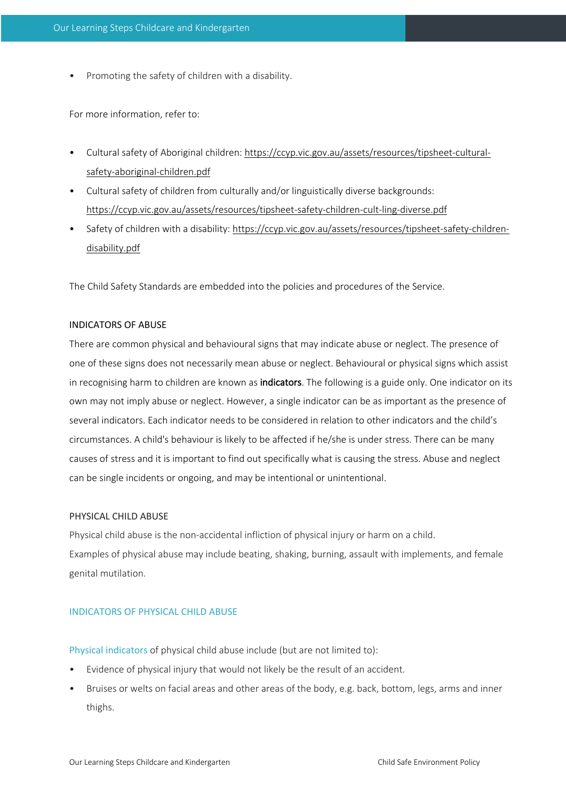• Promoting the safety of children with a disability.

For more information, refer to:

- Cultural safety of Aboriginal children: https://ccyp.vic.gov.au/assets/resources/tipsheet-culturalsafety-aboriginal-children.pdf
- Cultural safety of children from culturally and/or linguistically diverse backgrounds: https://ccyp.vic.gov.au/assets/resources/tipsheet-safety-children-cult-ling-diverse.pdf
- Safety of children with a disability: https://ccyp.vic.gov.au/assets/resources/tipsheet-safety-childrendisability.pdf

The Child Safety Standards are embedded into the policies and procedures of the Service.

#### INDICATORS OF ABUSE

There are common physical and behavioural signs that may indicate abuse or neglect. The presence of one of these signs does not necessarily mean abuse or neglect. Behavioural or physical signs which assist in recognising harm to children are known as indicators. The following is a guide only. One indicator on its own may not imply abuse or neglect. However, a single indicator can be as important as the presence of several indicators. Each indicator needs to be considered in relation to other indicators and the child's circumstances. A child's behaviour is likely to be affected if he/she is under stress. There can be many causes of stress and it is important to find out specifically what is causing the stress. Abuse and neglect can be single incidents or ongoing, and may be intentional or unintentional.

# PHYSICAL CHILD ABUSE

Physical child abuse is the non-accidental infliction of physical injury or harm on a child. Examples of physical abuse may include beating, shaking, burning, assault with implements, and female genital mutilation.

# INDICATORS OF PHYSICAL CHILD ABUSE

Physical indicators of physical child abuse include (but are not limited to):

- Evidence of physical injury that would not likely be the result of an accident.
- Bruises or welts on facial areas and other areas of the body, e.g. back, bottom, legs, arms and inner thighs.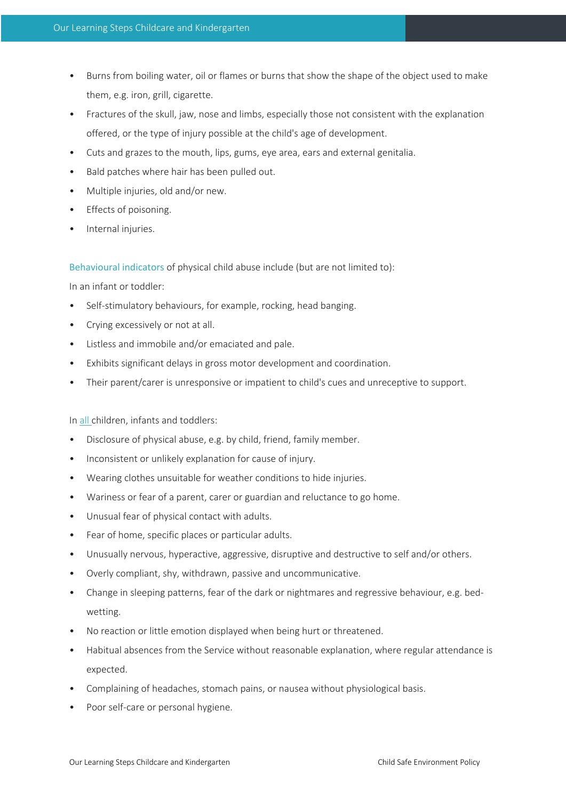- Burns from boiling water, oil or flames or burns that show the shape of the object used to make them, e.g. iron, grill, cigarette.
- Fractures of the skull, jaw, nose and limbs, especially those not consistent with the explanation offered, or the type of injury possible at the child's age of development.
- Cuts and grazes to the mouth, lips, gums, eye area, ears and external genitalia.
- Bald patches where hair has been pulled out.
- Multiple injuries, old and/or new.
- Effects of poisoning.
- Internal injuries.

Behavioural indicators of physical child abuse include (but are not limited to):

In an infant or toddler:

- Self-stimulatory behaviours, for example, rocking, head banging.
- Crying excessively or not at all.
- Listless and immobile and/or emaciated and pale.
- Exhibits significant delays in gross motor development and coordination.
- Their parent/carer is unresponsive or impatient to child's cues and unreceptive to support.

In all children, infants and toddlers:

- Disclosure of physical abuse, e.g. by child, friend, family member.
- Inconsistent or unlikely explanation for cause of injury.
- Wearing clothes unsuitable for weather conditions to hide injuries.
- Wariness or fear of a parent, carer or guardian and reluctance to go home.
- Unusual fear of physical contact with adults.
- Fear of home, specific places or particular adults.
- Unusually nervous, hyperactive, aggressive, disruptive and destructive to self and/or others.
- Overly compliant, shy, withdrawn, passive and uncommunicative.
- Change in sleeping patterns, fear of the dark or nightmares and regressive behaviour, e.g. bedwetting.
- No reaction or little emotion displayed when being hurt or threatened.
- Habitual absences from the Service without reasonable explanation, where regular attendance is expected.
- Complaining of headaches, stomach pains, or nausea without physiological basis.
- Poor self-care or personal hygiene.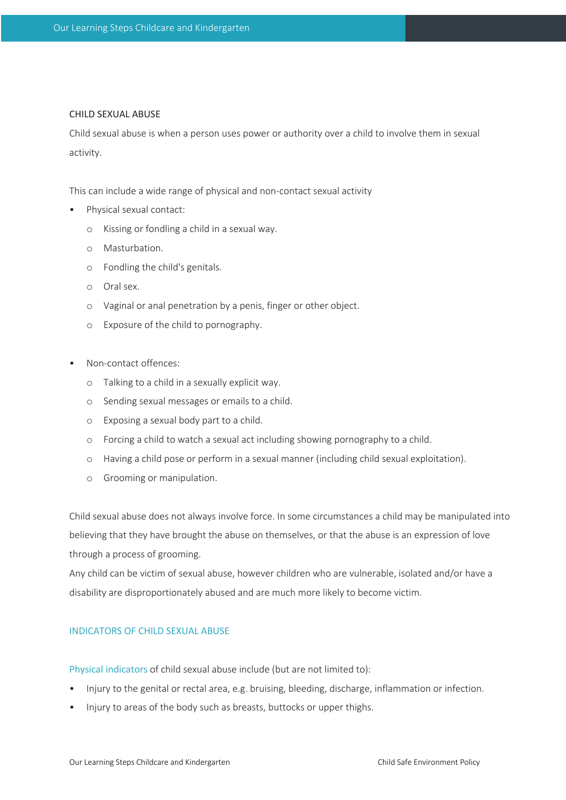#### CHILD SEXUAL ABUSE

Child sexual abuse is when a person uses power or authority over a child to involve them in sexual activity.

This can include a wide range of physical and non-contact sexual activity

- Physical sexual contact:
	- o Kissing or fondling a child in a sexual way.
	- o Masturbation.
	- o Fondling the child's genitals.
	- o Oral sex.
	- o Vaginal or anal penetration by a penis, finger or other object.
	- o Exposure of the child to pornography.
- Non-contact offences:
	- o Talking to a child in a sexually explicit way.
	- o Sending sexual messages or emails to a child.
	- o Exposing a sexual body part to a child.
	- o Forcing a child to watch a sexual act including showing pornography to a child.
	- o Having a child pose or perform in a sexual manner (including child sexual exploitation).
	- o Grooming or manipulation.

Child sexual abuse does not always involve force. In some circumstances a child may be manipulated into believing that they have brought the abuse on themselves, or that the abuse is an expression of love through a process of grooming.

Any child can be victim of sexual abuse, however children who are vulnerable, isolated and/or have a disability are disproportionately abused and are much more likely to become victim.

# INDICATORS OF CHILD SEXUAL ABUSE

Physical indicators of child sexual abuse include (but are not limited to):

- Injury to the genital or rectal area, e.g. bruising, bleeding, discharge, inflammation or infection.
- Injury to areas of the body such as breasts, buttocks or upper thighs.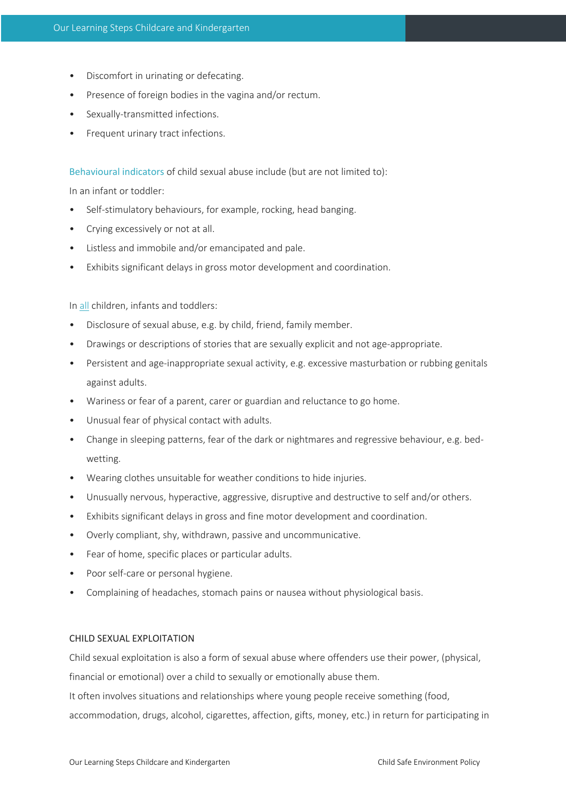- Discomfort in urinating or defecating.
- Presence of foreign bodies in the vagina and/or rectum.
- Sexually-transmitted infections.
- Frequent urinary tract infections.

Behavioural indicators of child sexual abuse include (but are not limited to):

In an infant or toddler:

- Self-stimulatory behaviours, for example, rocking, head banging.
- Crying excessively or not at all.
- Listless and immobile and/or emancipated and pale.
- Exhibits significant delays in gross motor development and coordination.

In all children, infants and toddlers:

- Disclosure of sexual abuse, e.g. by child, friend, family member.
- Drawings or descriptions of stories that are sexually explicit and not age-appropriate.
- Persistent and age-inappropriate sexual activity, e.g. excessive masturbation or rubbing genitals against adults.
- Wariness or fear of a parent, carer or guardian and reluctance to go home.
- Unusual fear of physical contact with adults.
- Change in sleeping patterns, fear of the dark or nightmares and regressive behaviour, e.g. bedwetting.
- Wearing clothes unsuitable for weather conditions to hide injuries.
- Unusually nervous, hyperactive, aggressive, disruptive and destructive to self and/or others.
- Exhibits significant delays in gross and fine motor development and coordination.
- Overly compliant, shy, withdrawn, passive and uncommunicative.
- Fear of home, specific places or particular adults.
- Poor self-care or personal hygiene.
- Complaining of headaches, stomach pains or nausea without physiological basis.

# CHILD SEXUAL EXPLOITATION

Child sexual exploitation is also a form of sexual abuse where offenders use their power, (physical, financial or emotional) over a child to sexually or emotionally abuse them.

It often involves situations and relationships where young people receive something (food,

accommodation, drugs, alcohol, cigarettes, affection, gifts, money, etc.) in return for participating in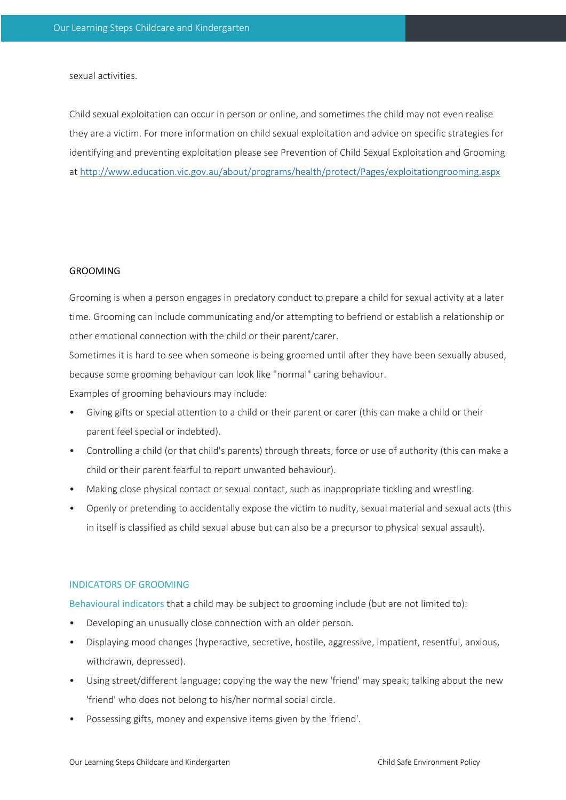sexual activities.

Child sexual exploitation can occur in person or online, and sometimes the child may not even realise they are a victim. For more information on child sexual exploitation and advice on specific strategies for identifying and preventing exploitation please see Prevention of Child Sexual Exploitation and Grooming at http://www.education.vic.gov.au/about/programs/health/protect/Pages/exploitationgrooming.aspx

#### GROOMING

Grooming is when a person engages in predatory conduct to prepare a child for sexual activity at a later time. Grooming can include communicating and/or attempting to befriend or establish a relationship or other emotional connection with the child or their parent/carer.

Sometimes it is hard to see when someone is being groomed until after they have been sexually abused, because some grooming behaviour can look like "normal" caring behaviour.

Examples of grooming behaviours may include:

- Giving gifts or special attention to a child or their parent or carer (this can make a child or their parent feel special or indebted).
- Controlling a child (or that child's parents) through threats, force or use of authority (this can make a child or their parent fearful to report unwanted behaviour).
- Making close physical contact or sexual contact, such as inappropriate tickling and wrestling.
- Openly or pretending to accidentally expose the victim to nudity, sexual material and sexual acts (this in itself is classified as child sexual abuse but can also be a precursor to physical sexual assault).

#### INDICATORS OF GROOMING

Behavioural indicators that a child may be subject to grooming include (but are not limited to):

- Developing an unusually close connection with an older person.
- Displaying mood changes (hyperactive, secretive, hostile, aggressive, impatient, resentful, anxious, withdrawn, depressed).
- Using street/different language; copying the way the new 'friend' may speak; talking about the new 'friend' who does not belong to his/her normal social circle.
- Possessing gifts, money and expensive items given by the 'friend'.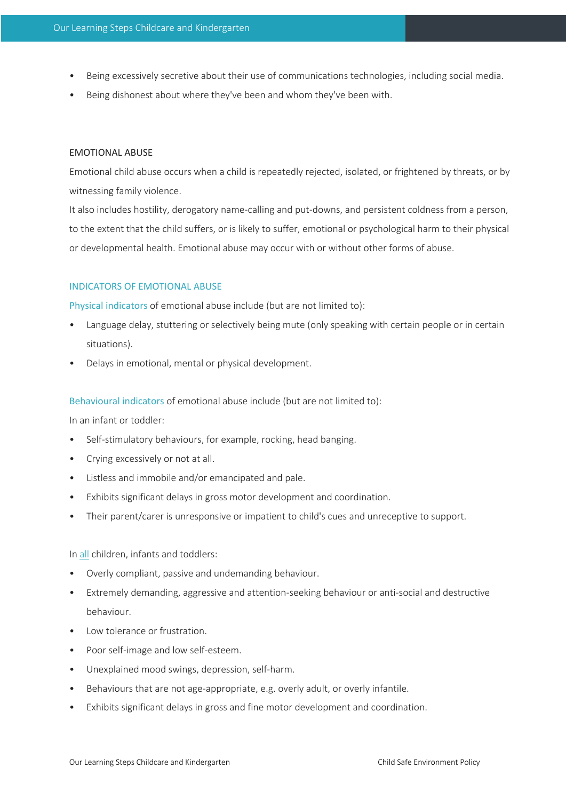- Being excessively secretive about their use of communications technologies, including social media.
- Being dishonest about where they've been and whom they've been with.

# EMOTIONAL ABUSE

Emotional child abuse occurs when a child is repeatedly rejected, isolated, or frightened by threats, or by witnessing family violence.

It also includes hostility, derogatory name-calling and put-downs, and persistent coldness from a person, to the extent that the child suffers, or is likely to suffer, emotional or psychological harm to their physical or developmental health. Emotional abuse may occur with or without other forms of abuse.

# INDICATORS OF EMOTIONAL ABUSE

Physical indicators of emotional abuse include (but are not limited to):

- Language delay, stuttering or selectively being mute (only speaking with certain people or in certain situations).
- Delays in emotional, mental or physical development.

Behavioural indicators of emotional abuse include (but are not limited to):

In an infant or toddler:

- Self-stimulatory behaviours, for example, rocking, head banging.
- Crying excessively or not at all.
- Listless and immobile and/or emancipated and pale.
- Exhibits significant delays in gross motor development and coordination.
- Their parent/carer is unresponsive or impatient to child's cues and unreceptive to support.

In all children, infants and toddlers:

- Overly compliant, passive and undemanding behaviour.
- Extremely demanding, aggressive and attention-seeking behaviour or anti-social and destructive behaviour.
- Low tolerance or frustration.
- Poor self-image and low self-esteem.
- Unexplained mood swings, depression, self-harm.
- Behaviours that are not age-appropriate, e.g. overly adult, or overly infantile.
- Exhibits significant delays in gross and fine motor development and coordination.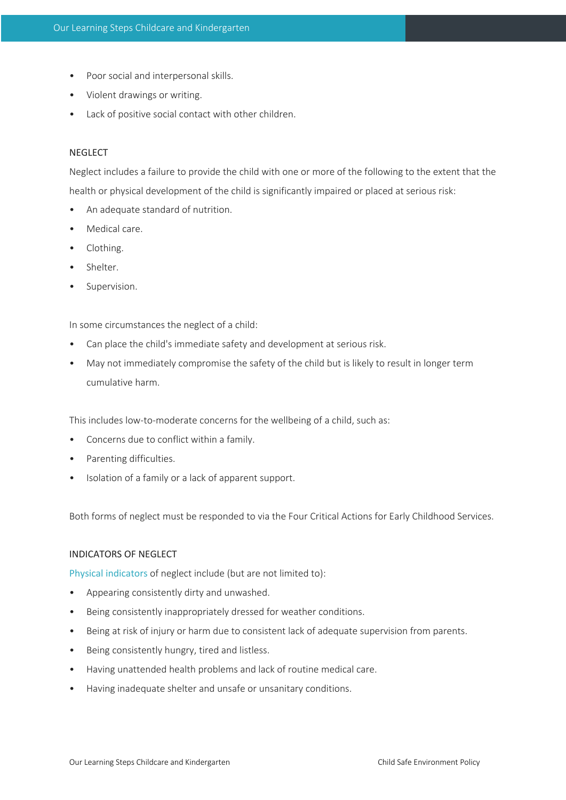- Poor social and interpersonal skills.
- Violent drawings or writing.
- Lack of positive social contact with other children.

# **NEGLECT**

Neglect includes a failure to provide the child with one or more of the following to the extent that the health or physical development of the child is significantly impaired or placed at serious risk:

- An adequate standard of nutrition.
- Medical care.
- Clothing.
- Shelter.
- Supervision.

In some circumstances the neglect of a child:

- Can place the child's immediate safety and development at serious risk.
- May not immediately compromise the safety of the child but is likely to result in longer term cumulative harm.

This includes low-to-moderate concerns for the wellbeing of a child, such as:

- Concerns due to conflict within a family.
- Parenting difficulties.
- Isolation of a family or a lack of apparent support.

Both forms of neglect must be responded to via the Four Critical Actions for Early Childhood Services.

#### INDICATORS OF NEGLECT

Physical indicators of neglect include (but are not limited to):

- Appearing consistently dirty and unwashed.
- Being consistently inappropriately dressed for weather conditions.
- Being at risk of injury or harm due to consistent lack of adequate supervision from parents.
- Being consistently hungry, tired and listless.
- Having unattended health problems and lack of routine medical care.
- Having inadequate shelter and unsafe or unsanitary conditions.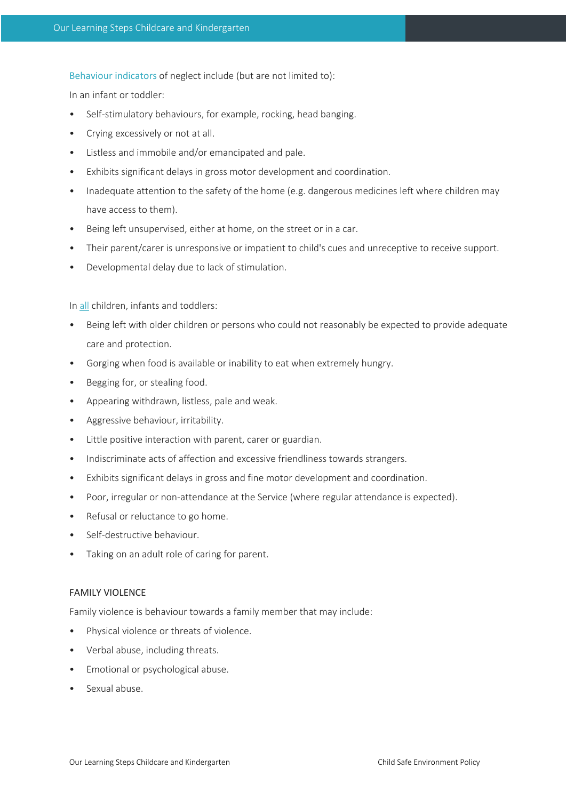Behaviour indicators of neglect include (but are not limited to):

In an infant or toddler:

- Self-stimulatory behaviours, for example, rocking, head banging.
- Crying excessively or not at all.
- Listless and immobile and/or emancipated and pale.
- Exhibits significant delays in gross motor development and coordination.
- Inadequate attention to the safety of the home (e.g. dangerous medicines left where children may have access to them).
- Being left unsupervised, either at home, on the street or in a car.
- Their parent/carer is unresponsive or impatient to child's cues and unreceptive to receive support.
- Developmental delay due to lack of stimulation.

In all children, infants and toddlers:

- Being left with older children or persons who could not reasonably be expected to provide adequate care and protection.
- Gorging when food is available or inability to eat when extremely hungry.
- Begging for, or stealing food.
- Appearing withdrawn, listless, pale and weak.
- Aggressive behaviour, irritability.
- Little positive interaction with parent, carer or guardian.
- Indiscriminate acts of affection and excessive friendliness towards strangers.
- Exhibits significant delays in gross and fine motor development and coordination.
- Poor, irregular or non-attendance at the Service (where regular attendance is expected).
- Refusal or reluctance to go home.
- Self-destructive behaviour.
- Taking on an adult role of caring for parent.

#### FAMILY VIOLENCE

Family violence is behaviour towards a family member that may include:

- Physical violence or threats of violence.
- Verbal abuse, including threats.
- Emotional or psychological abuse.
- Sexual abuse.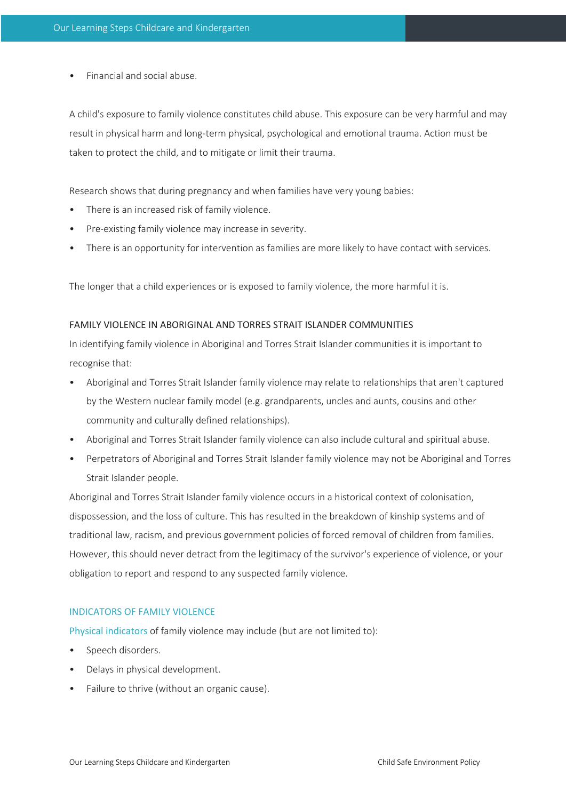• Financial and social abuse.

A child's exposure to family violence constitutes child abuse. This exposure can be very harmful and may result in physical harm and long-term physical, psychological and emotional trauma. Action must be taken to protect the child, and to mitigate or limit their trauma.

Research shows that during pregnancy and when families have very young babies:

- There is an increased risk of family violence.
- Pre-existing family violence may increase in severity.
- There is an opportunity for intervention as families are more likely to have contact with services.

The longer that a child experiences or is exposed to family violence, the more harmful it is.

# FAMILY VIOLENCE IN ABORIGINAL AND TORRES STRAIT ISLANDER COMMUNITIES

In identifying family violence in Aboriginal and Torres Strait Islander communities it is important to recognise that:

- Aboriginal and Torres Strait Islander family violence may relate to relationships that aren't captured by the Western nuclear family model (e.g. grandparents, uncles and aunts, cousins and other community and culturally defined relationships).
- Aboriginal and Torres Strait Islander family violence can also include cultural and spiritual abuse.
- Perpetrators of Aboriginal and Torres Strait Islander family violence may not be Aboriginal and Torres Strait Islander people.

Aboriginal and Torres Strait Islander family violence occurs in a historical context of colonisation, dispossession, and the loss of culture. This has resulted in the breakdown of kinship systems and of traditional law, racism, and previous government policies of forced removal of children from families. However, this should never detract from the legitimacy of the survivor's experience of violence, or your obligation to report and respond to any suspected family violence.

# INDICATORS OF FAMILY VIOLENCE

Physical indicators of family violence may include (but are not limited to):

- Speech disorders.
- Delays in physical development.
- Failure to thrive (without an organic cause).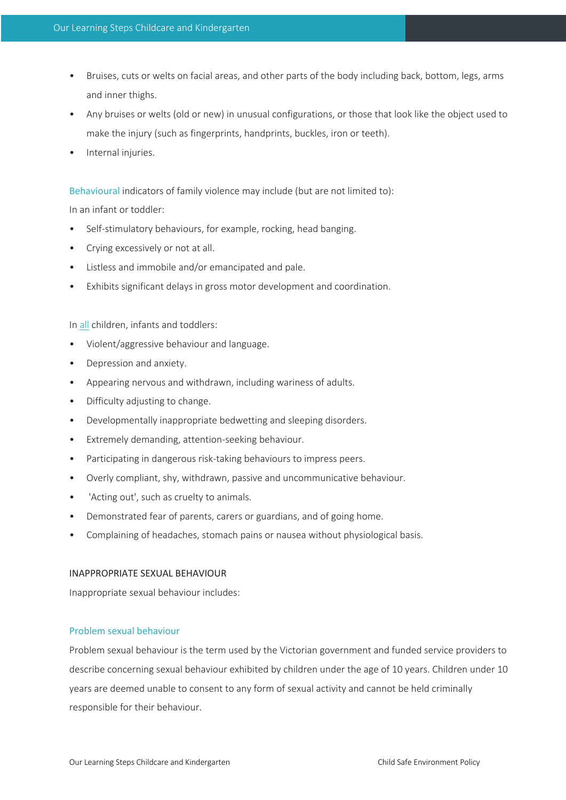- Bruises, cuts or welts on facial areas, and other parts of the body including back, bottom, legs, arms and inner thighs.
- Any bruises or welts (old or new) in unusual configurations, or those that look like the object used to make the injury (such as fingerprints, handprints, buckles, iron or teeth).
- Internal injuries.

Behavioural indicators of family violence may include (but are not limited to):

In an infant or toddler:

- Self-stimulatory behaviours, for example, rocking, head banging.
- Crying excessively or not at all.
- Listless and immobile and/or emancipated and pale.
- Exhibits significant delays in gross motor development and coordination.

In all children, infants and toddlers:

- Violent/aggressive behaviour and language.
- Depression and anxiety.
- Appearing nervous and withdrawn, including wariness of adults.
- Difficulty adjusting to change.
- Developmentally inappropriate bedwetting and sleeping disorders.
- Extremely demanding, attention-seeking behaviour.
- Participating in dangerous risk-taking behaviours to impress peers.
- Overly compliant, shy, withdrawn, passive and uncommunicative behaviour.
- 'Acting out', such as cruelty to animals.
- Demonstrated fear of parents, carers or guardians, and of going home.
- Complaining of headaches, stomach pains or nausea without physiological basis.

# INAPPROPRIATE SEXUAL BEHAVIOUR

Inappropriate sexual behaviour includes:

# Problem sexual behaviour

Problem sexual behaviour is the term used by the Victorian government and funded service providers to describe concerning sexual behaviour exhibited by children under the age of 10 years. Children under 10 years are deemed unable to consent to any form of sexual activity and cannot be held criminally responsible for their behaviour.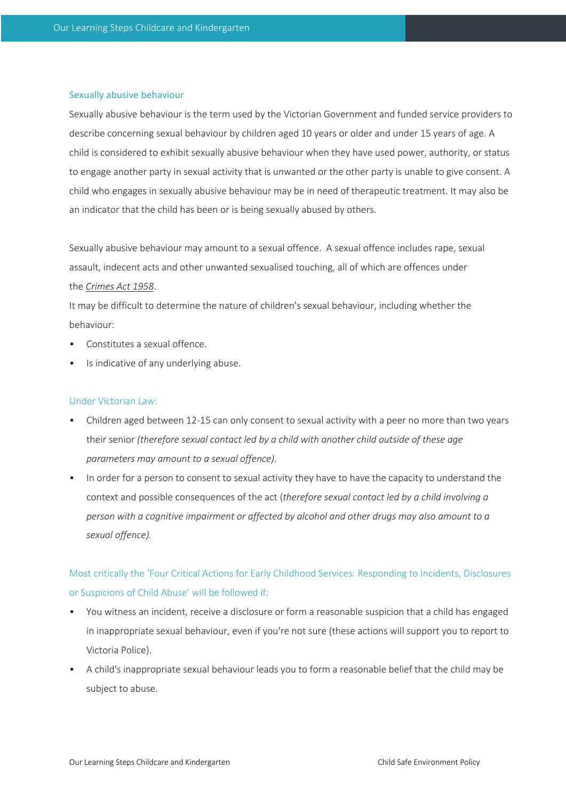#### Sexually abusive behaviour

Sexually abusive behaviour is the term used by the Victorian Government and funded service providers to describe concerning sexual behaviour by children aged 10 years or older and under 15 years of age. A child is considered to exhibit sexually abusive behaviour when they have used power, authority, or status to engage another party in sexual activity that is unwanted or the other party is unable to give consent. A child who engages in sexually abusive behaviour may be in need of therapeutic treatment. It may also be an indicator that the child has been or is being sexually abused by others.

Sexually abusive behaviour may amount to a sexual offence. A sexual offence includes rape, sexual assault, indecent acts and other unwanted sexualised touching, all of which are offences under the *Crimes Act 1958*.

It may be difficult to determine the nature of children's sexual behaviour, including whether the behaviour:

- Constitutes a sexual offence.
- Is indicative of any underlying abuse.

# Under Victorian Law:

- Children aged between 12-15 can only consent to sexual activity with a peer no more than two years their senior *(therefore sexual contact led by a child with another child outside of these age parameters may amount to a sexual offence).*
- In order for a person to consent to sexual activity they have to have the capacity to understand the context and possible consequences of the act (*therefore sexual contact led by a child involving a person with a cognitive impairment or affected by alcohol and other drugs may also amount to a sexual offence).*

# Most critically the 'Four Critical Actions for Early Childhood Services: Responding to Incidents, Disclosures or Suspicions of Child Abuse' will be followed if:

- You witness an incident, receive a disclosure or form a reasonable suspicion that a child has engaged in inappropriate sexual behaviour, even if you're not sure (these actions will support you to report to Victoria Police).
- A child's inappropriate sexual behaviour leads you to form a reasonable belief that the child may be subject to abuse.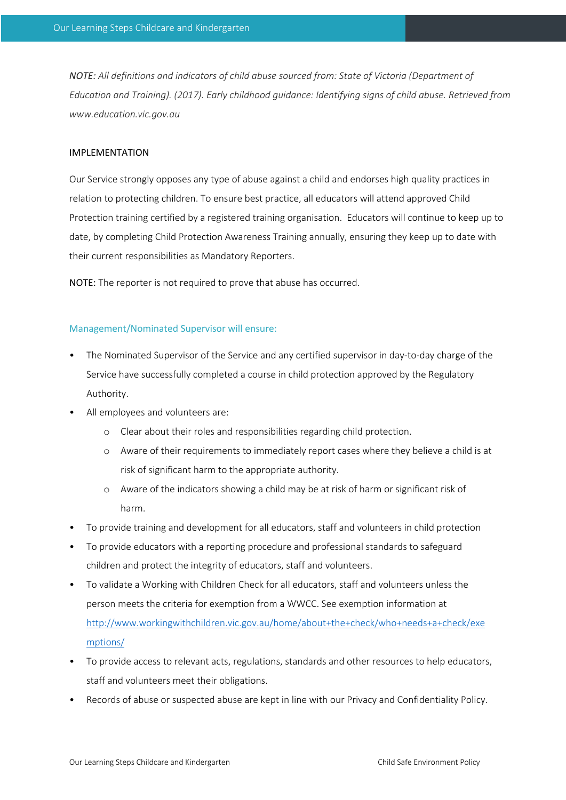*NOTE: All definitions and indicators of child abuse sourced from: State of Victoria (Department of Education and Training). (2017). Early childhood guidance: Identifying signs of child abuse. Retrieved from www.education.vic.gov.au*

# IMPLEMENTATION

Our Service strongly opposes any type of abuse against a child and endorses high quality practices in relation to protecting children. To ensure best practice, all educators will attend approved Child Protection training certified by a registered training organisation. Educators will continue to keep up to date, by completing Child Protection Awareness Training annually, ensuring they keep up to date with their current responsibilities as Mandatory Reporters.

NOTE: The reporter is not required to prove that abuse has occurred.

#### Management/Nominated Supervisor will ensure:

- The Nominated Supervisor of the Service and any certified supervisor in day-to-day charge of the Service have successfully completed a course in child protection approved by the Regulatory Authority.
- All employees and volunteers are:
	- o Clear about their roles and responsibilities regarding child protection.
	- o Aware of their requirements to immediately report cases where they believe a child is at risk of significant harm to the appropriate authority.
	- o Aware of the indicators showing a child may be at risk of harm or significant risk of harm.
- To provide training and development for all educators, staff and volunteers in child protection
- To provide educators with a reporting procedure and professional standards to safeguard children and protect the integrity of educators, staff and volunteers.
- To validate a Working with Children Check for all educators, staff and volunteers unless the person meets the criteria for exemption from a WWCC. See exemption information at http://www.workingwithchildren.vic.gov.au/home/about+the+check/who+needs+a+check/exe mptions/
- To provide access to relevant acts, regulations, standards and other resources to help educators, staff and volunteers meet their obligations.
- Records of abuse or suspected abuse are kept in line with our Privacy and Confidentiality Policy.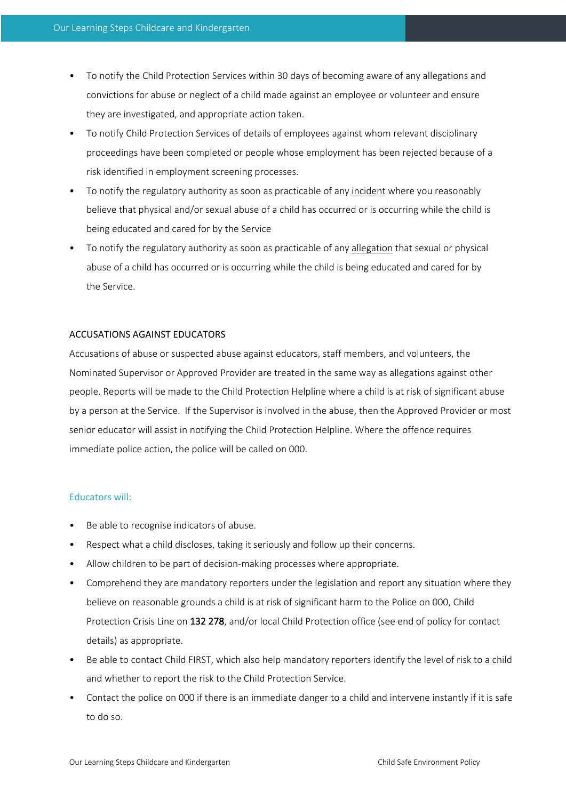- To notify the Child Protection Services within 30 days of becoming aware of any allegations and convictions for abuse or neglect of a child made against an employee or volunteer and ensure they are investigated, and appropriate action taken.
- To notify Child Protection Services of details of employees against whom relevant disciplinary proceedings have been completed or people whose employment has been rejected because of a risk identified in employment screening processes.
- To notify the regulatory authority as soon as practicable of any incident where you reasonably believe that physical and/or sexual abuse of a child has occurred or is occurring while the child is being educated and cared for by the Service
- To notify the regulatory authority as soon as practicable of any allegation that sexual or physical abuse of a child has occurred or is occurring while the child is being educated and cared for by the Service.

# ACCUSATIONS AGAINST EDUCATORS

Accusations of abuse or suspected abuse against educators, staff members, and volunteers, the Nominated Supervisor or Approved Provider are treated in the same way as allegations against other people. Reports will be made to the Child Protection Helpline where a child is at risk of significant abuse by a person at the Service. If the Supervisor is involved in the abuse, then the Approved Provider or most senior educator will assist in notifying the Child Protection Helpline. Where the offence requires immediate police action, the police will be called on 000.

#### Educators will:

- Be able to recognise indicators of abuse.
- Respect what a child discloses, taking it seriously and follow up their concerns.
- Allow children to be part of decision-making processes where appropriate.
- Comprehend they are mandatory reporters under the legislation and report any situation where they believe on reasonable grounds a child is at risk of significant harm to the Police on 000, Child Protection Crisis Line on 132 278, and/or local Child Protection office (see end of policy for contact details) as appropriate.
- Be able to contact Child FIRST, which also help mandatory reporters identify the level of risk to a child and whether to report the risk to the Child Protection Service.
- Contact the police on 000 if there is an immediate danger to a child and intervene instantly if it is safe to do so.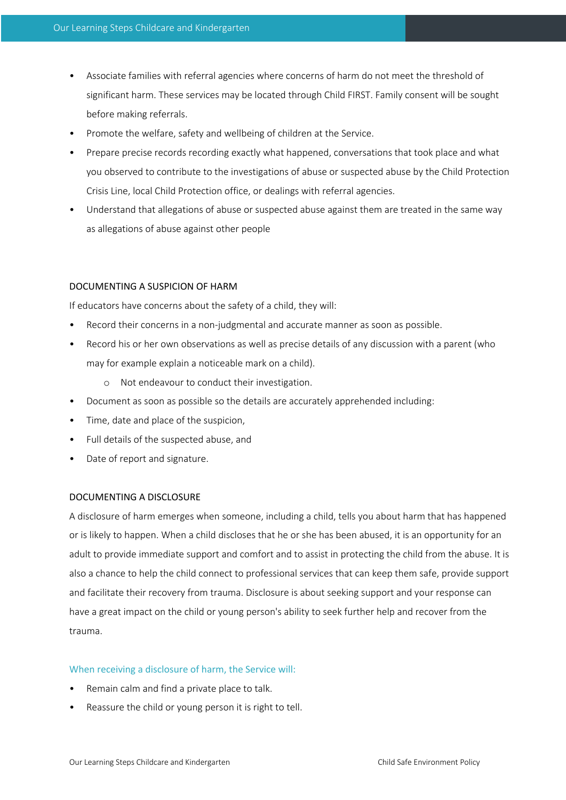- Associate families with referral agencies where concerns of harm do not meet the threshold of significant harm. These services may be located through Child FIRST. Family consent will be sought before making referrals.
- Promote the welfare, safety and wellbeing of children at the Service.
- Prepare precise records recording exactly what happened, conversations that took place and what you observed to contribute to the investigations of abuse or suspected abuse by the Child Protection Crisis Line, local Child Protection office, or dealings with referral agencies.
- Understand that allegations of abuse or suspected abuse against them are treated in the same way as allegations of abuse against other people

# DOCUMENTING A SUSPICION OF HARM

If educators have concerns about the safety of a child, they will:

- Record their concerns in a non-judgmental and accurate manner as soon as possible.
- Record his or her own observations as well as precise details of any discussion with a parent (who may for example explain a noticeable mark on a child).
	- o Not endeavour to conduct their investigation.
- Document as soon as possible so the details are accurately apprehended including:
- Time, date and place of the suspicion,
- Full details of the suspected abuse, and
- Date of report and signature.

#### DOCUMENTING A DISCLOSURE

A disclosure of harm emerges when someone, including a child, tells you about harm that has happened or is likely to happen. When a child discloses that he or she has been abused, it is an opportunity for an adult to provide immediate support and comfort and to assist in protecting the child from the abuse. It is also a chance to help the child connect to professional services that can keep them safe, provide support and facilitate their recovery from trauma. Disclosure is about seeking support and your response can have a great impact on the child or young person's ability to seek further help and recover from the trauma.

#### When receiving a disclosure of harm, the Service will:

- Remain calm and find a private place to talk.
- Reassure the child or young person it is right to tell.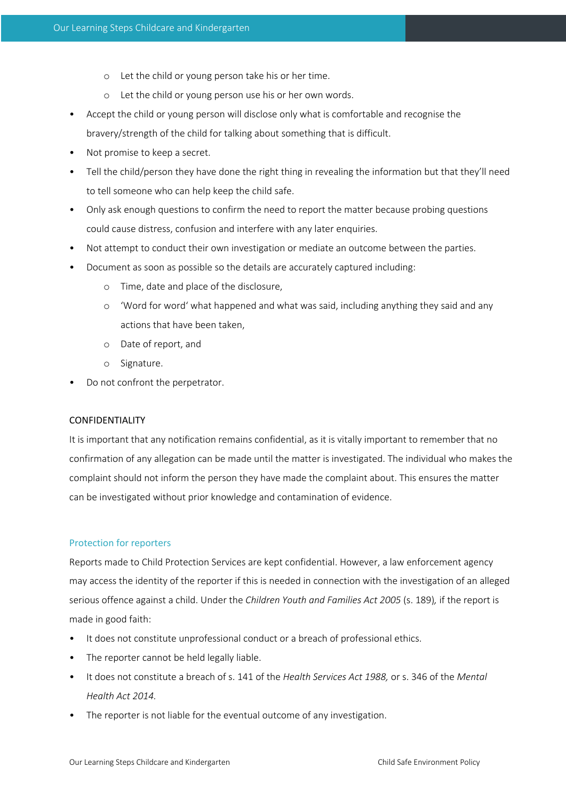- o Let the child or young person take his or her time.
- o Let the child or young person use his or her own words.
- Accept the child or young person will disclose only what is comfortable and recognise the bravery/strength of the child for talking about something that is difficult.
- Not promise to keep a secret.
- Tell the child/person they have done the right thing in revealing the information but that they'll need to tell someone who can help keep the child safe.
- Only ask enough questions to confirm the need to report the matter because probing questions could cause distress, confusion and interfere with any later enquiries.
- Not attempt to conduct their own investigation or mediate an outcome between the parties.
- Document as soon as possible so the details are accurately captured including:
	- o Time, date and place of the disclosure,
	- o 'Word for word' what happened and what was said, including anything they said and any actions that have been taken,
	- o Date of report, and
	- o Signature.
- Do not confront the perpetrator.

# CONFIDENTIALITY

It is important that any notification remains confidential, as it is vitally important to remember that no confirmation of any allegation can be made until the matter is investigated. The individual who makes the complaint should not inform the person they have made the complaint about. This ensures the matter can be investigated without prior knowledge and contamination of evidence.

# Protection for reporters

Reports made to Child Protection Services are kept confidential. However, a law enforcement agency may access the identity of the reporter if this is needed in connection with the investigation of an alleged serious offence against a child. Under the *Children Youth and Families Act 2005* (s. 189)*,* if the report is made in good faith:

- It does not constitute unprofessional conduct or a breach of professional ethics.
- The reporter cannot be held legally liable.
- It does not constitute a breach of s. 141 of the *Health Services Act 1988,* or s. 346 of the *Mental Health Act 2014.*
- The reporter is not liable for the eventual outcome of any investigation.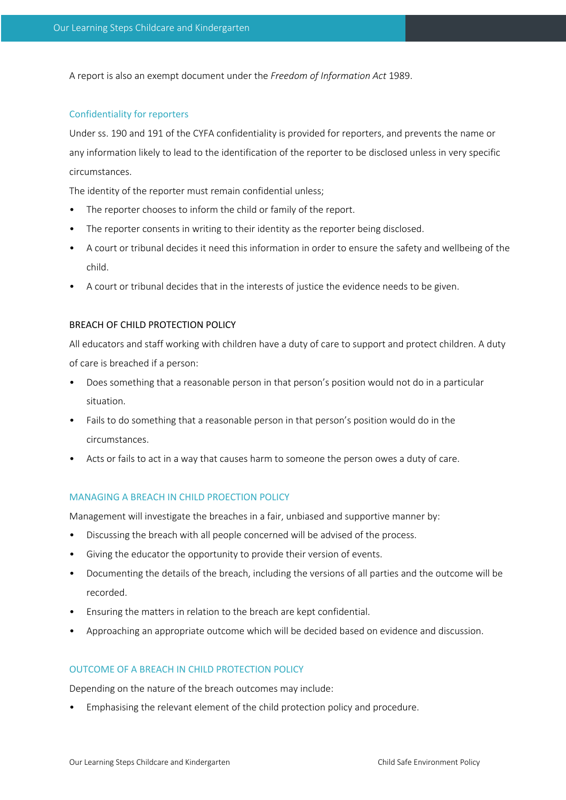A report is also an exempt document under the *Freedom of Information Act* 1989.

# Confidentiality for reporters

Under ss. 190 and 191 of the CYFA confidentiality is provided for reporters, and prevents the name or any information likely to lead to the identification of the reporter to be disclosed unless in very specific circumstances.

The identity of the reporter must remain confidential unless;

- The reporter chooses to inform the child or family of the report.
- The reporter consents in writing to their identity as the reporter being disclosed.
- A court or tribunal decides it need this information in order to ensure the safety and wellbeing of the child.
- A court or tribunal decides that in the interests of justice the evidence needs to be given.

#### BREACH OF CHILD PROTECTION POLICY

All educators and staff working with children have a duty of care to support and protect children. A duty of care is breached if a person:

- Does something that a reasonable person in that person's position would not do in a particular situation.
- Fails to do something that a reasonable person in that person's position would do in the circumstances.
- Acts or fails to act in a way that causes harm to someone the person owes a duty of care.

#### MANAGING A BREACH IN CHILD PROECTION POLICY

Management will investigate the breaches in a fair, unbiased and supportive manner by:

- Discussing the breach with all people concerned will be advised of the process.
- Giving the educator the opportunity to provide their version of events.
- Documenting the details of the breach, including the versions of all parties and the outcome will be recorded.
- Ensuring the matters in relation to the breach are kept confidential.
- Approaching an appropriate outcome which will be decided based on evidence and discussion.

# OUTCOME OF A BREACH IN CHILD PROTECTION POLICY

Depending on the nature of the breach outcomes may include:

• Emphasising the relevant element of the child protection policy and procedure.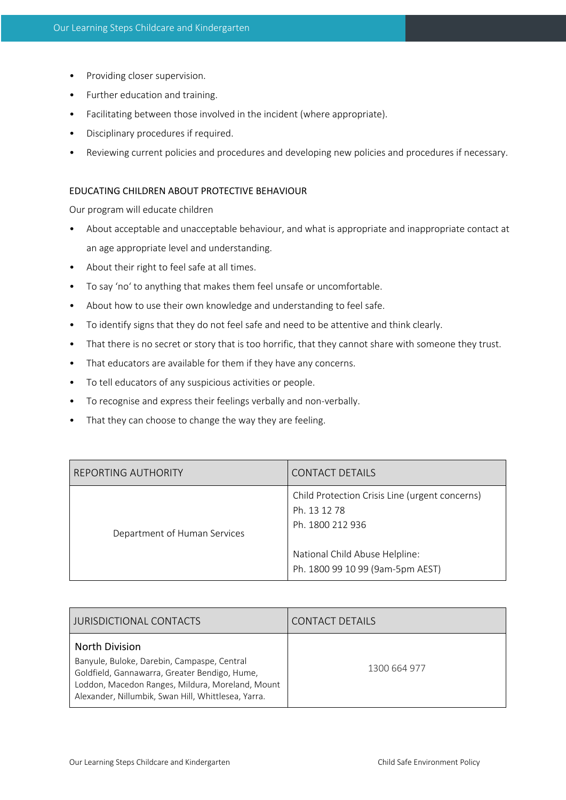- Providing closer supervision.
- Further education and training.
- Facilitating between those involved in the incident (where appropriate).
- Disciplinary procedures if required.
- Reviewing current policies and procedures and developing new policies and procedures if necessary.

#### EDUCATING CHILDREN ABOUT PROTECTIVE BEHAVIOUR

Our program will educate children

- About acceptable and unacceptable behaviour, and what is appropriate and inappropriate contact at an age appropriate level and understanding.
- About their right to feel safe at all times.
- To say 'no' to anything that makes them feel unsafe or uncomfortable.
- About how to use their own knowledge and understanding to feel safe.
- To identify signs that they do not feel safe and need to be attentive and think clearly.
- That there is no secret or story that is too horrific, that they cannot share with someone they trust.
- That educators are available for them if they have any concerns.
- To tell educators of any suspicious activities or people.
- To recognise and express their feelings verbally and non-verbally.
- That they can choose to change the way they are feeling.

| REPORTING AUTHORITY          | CONTACT DETAILS                                                                                                                                          |  |
|------------------------------|----------------------------------------------------------------------------------------------------------------------------------------------------------|--|
| Department of Human Services | Child Protection Crisis Line (urgent concerns)<br>Ph. 13 12 78<br>Ph. 1800 212 936<br>National Child Abuse Helpline:<br>Ph. 1800 99 10 99 (9am-5pm AEST) |  |

| <b>JURISDICTIONAL CONTACTS</b>                                                                                                                                                                                                   | <b>CONTACT DETAILS</b> |  |
|----------------------------------------------------------------------------------------------------------------------------------------------------------------------------------------------------------------------------------|------------------------|--|
| <b>North Division</b><br>Banyule, Buloke, Darebin, Campaspe, Central<br>Goldfield, Gannawarra, Greater Bendigo, Hume,<br>Loddon, Macedon Ranges, Mildura, Moreland, Mount<br>Alexander, Nillumbik, Swan Hill, Whittlesea, Yarra. | 1300 664 977           |  |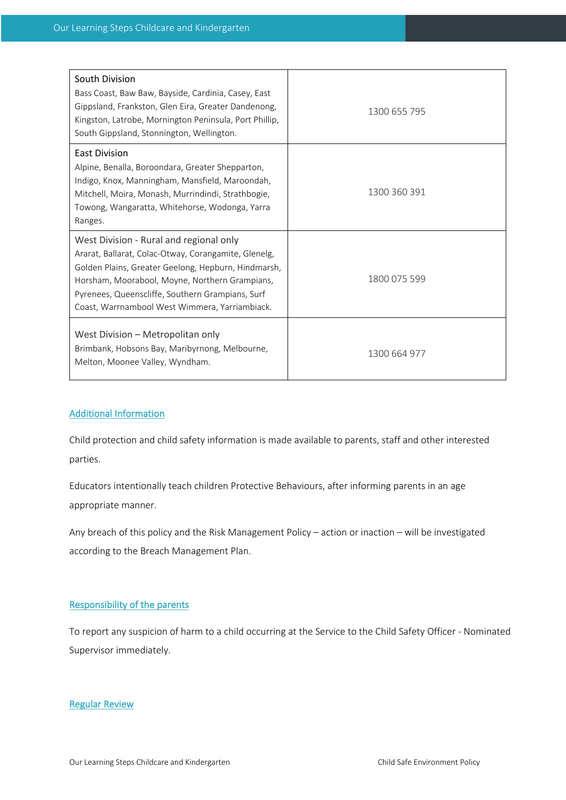| South Division<br>Bass Coast, Baw Baw, Bayside, Cardinia, Casey, East<br>Gippsland, Frankston, Glen Eira, Greater Dandenong,<br>Kingston, Latrobe, Mornington Peninsula, Port Phillip,<br>South Gippsland, Stonnington, Wellington.                                                                            | 1300 655 795 |
|----------------------------------------------------------------------------------------------------------------------------------------------------------------------------------------------------------------------------------------------------------------------------------------------------------------|--------------|
| <b>East Division</b><br>Alpine, Benalla, Boroondara, Greater Shepparton,<br>Indigo, Knox, Manningham, Mansfield, Maroondah,<br>Mitchell, Moira, Monash, Murrindindi, Strathbogie,<br>Towong, Wangaratta, Whitehorse, Wodonga, Yarra<br>Ranges.                                                                 | 1300 360 391 |
| West Division - Rural and regional only<br>Ararat, Ballarat, Colac-Otway, Corangamite, Glenelg,<br>Golden Plains, Greater Geelong, Hepburn, Hindmarsh,<br>Horsham, Moorabool, Moyne, Northern Grampians,<br>Pyrenees, Queenscliffe, Southern Grampians, Surf<br>Coast, Warrnambool West Wimmera, Yarriambiack. | 1800 075 599 |
| West Division - Metropolitan only<br>Brimbank, Hobsons Bay, Maribyrnong, Melbourne,<br>Melton, Moonee Valley, Wyndham.                                                                                                                                                                                         | 1300 664 977 |

#### Additional Information

Child protection and child safety information is made available to parents, staff and other interested parties.

Educators intentionally teach children Protective Behaviours, after informing parents in an age appropriate manner.

Any breach of this policy and the Risk Management Policy – action or inaction – will be investigated according to the Breach Management Plan.

#### Responsibility of the parents

To report any suspicion of harm to a child occurring at the Service to the Child Safety Officer - Nominated Supervisor immediately.

# Regular Review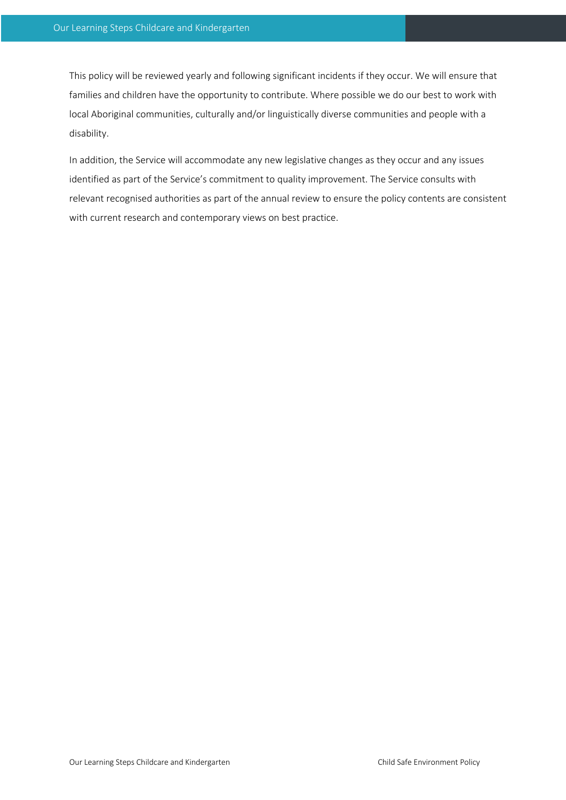This policy will be reviewed yearly and following significant incidents if they occur. We will ensure that families and children have the opportunity to contribute. Where possible we do our best to work with local Aboriginal communities, culturally and/or linguistically diverse communities and people with a disability.

In addition, the Service will accommodate any new legislative changes as they occur and any issues identified as part of the Service's commitment to quality improvement. The Service consults with relevant recognised authorities as part of the annual review to ensure the policy contents are consistent with current research and contemporary views on best practice.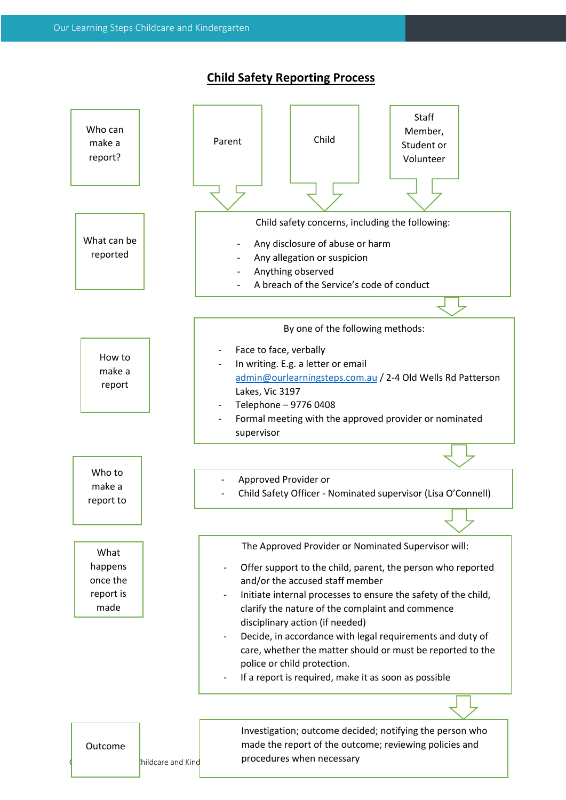# **Child Safety Reporting Process**

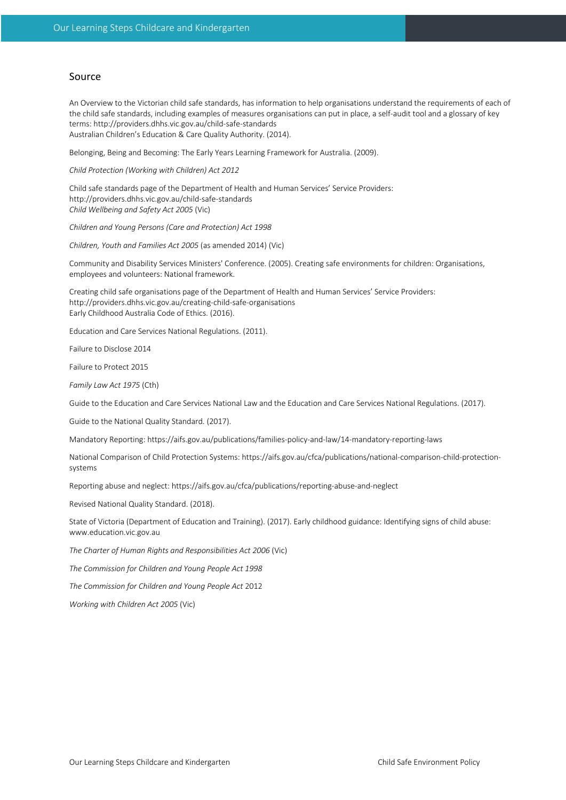#### Source

An Overview to the Victorian child safe standards, has information to help organisations understand the requirements of each of the child safe standards, including examples of measures organisations can put in place, a self-audit tool and a glossary of key terms: http://providers.dhhs.vic.gov.au/child-safe-standards Australian Children's Education & Care Quality Authority. (2014).

Belonging, Being and Becoming: The Early Years Learning Framework for Australia. (2009).

*Child Protection (Working with Children) Act 2012*

Child safe standards page of the Department of Health and Human Services' Service Providers: http://providers.dhhs.vic.gov.au/child-safe-standards *Child Wellbeing and Safety Act 2005* (Vic)

*Children and Young Persons (Care and Protection) Act 1998*

*Children, Youth and Families Act 2005* (as amended 2014) (Vic)

Community and Disability Services Ministers' Conference. (2005). Creating safe environments for children: Organisations, employees and volunteers: National framework.

Creating child safe organisations page of the Department of Health and Human Services' Service Providers: http://providers.dhhs.vic.gov.au/creating-child-safe-organisations Early Childhood Australia Code of Ethics. (2016).

Education and Care Services National Regulations. (2011).

Failure to Disclose 2014

Failure to Protect 2015

*Family Law Act 1975* (Cth)

Guide to the Education and Care Services National Law and the Education and Care Services National Regulations. (2017).

Guide to the National Quality Standard. (2017).

Mandatory Reporting: https://aifs.gov.au/publications/families-policy-and-law/14-mandatory-reporting-laws

National Comparison of Child Protection Systems: https://aifs.gov.au/cfca/publications/national-comparison-child-protectionsystems

Reporting abuse and neglect: https://aifs.gov.au/cfca/publications/reporting-abuse-and-neglect

Revised National Quality Standard. (2018).

State of Victoria (Department of Education and Training). (2017). Early childhood guidance: Identifying signs of child abuse: www.education.vic.gov.au

*The Charter of Human Rights and Responsibilities Act 2006* (Vic)

*The Commission for Children and Young People Act 1998*

*The Commission for Children and Young People Act* 2012

*Working with Children Act 2005* (Vic)